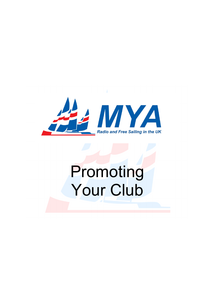

# Promoting Your Club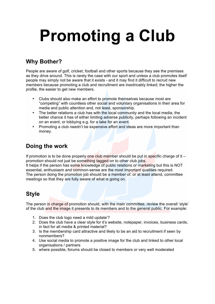# **Promoting a Club**

# **Why Bother?**

People are aware of golf, cricket, football and other sports because they see the premises as they drive around. This is rarely the case with our sport and unless a club promotes itself people may simply not be aware that it exists - and it may find it difficult to recruit new members because promoting a club and recruitment are inextricably linked; the higher the profile, the easier to get new members.

- Clubs should also make an effort to promote themselves because most are "competing" with countless other social and voluntary organisations in their area for media and public attention and, not least, sponsorship.
- The better relations a club has with the local community and the local media, the better chance it has of either limiting adverse publicity, perhaps following an incident on an event, or lobbying e.g. for a lake for an event.
- Promoting a club needn't be expensive effort and ideas are more important than money.

### **Doing the work**

If promotion is to be done properly one club member should be put in specific charge of it  $$ promotion should not just be something tagged on to other club jobs.

It helps if the person has some knowledge of public relations or marketing but this is NOT essential, enthusiasm and common-sense are the most important qualities required. The person doing the promotion job should be a member of, or at least attend, committee meetings so that they are fully aware of what is going on.

# **Style**

The person in charge of promotion should, with the main committee, review the overall 'style' of the club and the image it presents to its members and to the general public. For example:

- 1. Does the club logo need a mild update'?
- 2. Does the club have a clear style for it's website, notepaper, invoices, business cards, in fact for all media & printed material?
- 3. Is the membership card attractive and likely to be an aid to recruitment if seen by nonmembers?
- 4. Use social media to promote a positive image for the club and linked to other local organisations / partners
- 5. where possible, forums should be closed to members or very well moderated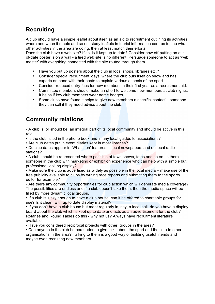# **Recruiting**

A club should have a simple leaflet about itself as an aid to recruitment outlining its activities, where and when it meets and so on; study leaflets in tourist information centres to see what other activities in the area are doing, then at least match their efforts.

Does the club have a web site? If so, is it kept up to date? Consider how off-putting an outof-date poster is on a wall - a tired web site is no different. Persuade someone to act as 'web master' with everything connected with the site routed through them.

- Have you put up posters about the club in local shops, libraries etc.?
- Consider special recruitment 'days' where the club puts itself on show and has experts on hand with their boats to explain various aspects of the sport.
- Consider reduced entry fees for new members in their first year as a recruitment aid.
- Committee members should make an effort to welcome new members at club nights. It helps if key club members wear name badges.
- Some clubs have found it helps to give new members a specific 'contact' someone they can call if they need advice about the club.

# **Community relations**

• A club is, or should be, an integral part of its local community and should be active in this role.

• Is the club listed in the phone book and in any local guides to associations?

• Are club dates put in event diaries kept in most libraries?

• Do club dates appear in 'What's on' features in local newspapers and on local radio stations?

• A club should be represented where possible at town shows, fetes and so on. Is there someone in the club with marketing or exhibition experience who can help with a simple but professional looking display?

• Make sure the club is advertised as widely as possible in the local media – make use of the free publicity available to clubs by writing race reports and submitting them to the sports editor for example?

• Are there any community opportunities for club action which will generate media coverage? The possibilities are endless and if a club doesn't take them, then the media space will be filled by more dynamic local groups.

• If a club is lucky enough to have a club house, can it be offered to charitable groups for use? Is it clean, with up to date display material?

• If you don't have a club house but meet regularly in, say, a local hall, do you have a display board about the club which is kept up to date and acts as an advertisement for the club? Rotaries and Round Tables do this - why not us? Always have recruitment literature available.

• Have you considered reciprocal projects with other, groups in the area?

• Can anyone in the club be persuaded to give talks about the sport and the club to other organisations in the area? Talking to them is a good way of building useful friends and maybe even recruiting new members.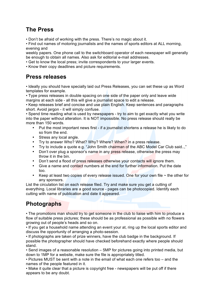#### **The Press**

• Don't be afraid of working with the press. There's no magic about it.

• Find out names of motoring journalists and the names of sports editors at ALL morning, evening and

weekly papers. One phone call to the switchboard operator of each newspaper will generally be enough to obtain all names. Also ask for editorial e-mail addresses.

• Get to know the local press; invite correspondents to your larger events.

• Know their copy deadlines and picture requirements.

#### **Press releases**

• Ideally you should have specially laid out Press Releases, you can set these up as Word templates for example.

• Type press releases in double spacing on one side of the paper only and leave wide margins at each side - all this will give a journalist space to edit a release.

• Keep releases brief and concise and use plain English. Keep sentences and paragraphs short. Avoid jargon - it will simply confuse.

• Spend time reading what is used by newspapers - try to aim to get exactly what you write into the paper without alteration. It is NOT impossible. No press release should really be more than 150 words.

- Put the most important news first if a journalist shortens a release he is likely to do so from the end.
- Stress any local angle.
- Try to answer Who? What? Why? Where? When? in a press release.
- Try to include a quote e.g. "John Smith chairman of the ABC Model Car Club said..."
- Don't over plug a sponsor's name in any press release, otherwise the press may throw it in the bin.
- Don't send a flood of press releases otherwise your contacts will ignore them.
- Give a name and contact numbers at the end for further information. Put the date too.
- Keep at least two copies of every release issued. One for your own file  $\sim$  the other for any sponsors.

List the circulation list on each release filed. Try and make sure you get a cutting of everything. Local libraries are a good source - pages can be photocopied. Identify each cutting with name of publication and date it appeared.

# **Photographs**

• The promotions man should try to get someone in the club to liaise with him to produce a flow of suitable press pictures; these should be as professional as possible with no flowers growing out of people's heads and so on.

• If you get a household name attending an event your at, ring up the local sports editor and discuss the opportunity of arranging a photo-session.

• If photographs are taken of prize winners, have the club badge in the background. If possible the photographer should have checked beforehand exactly where people should stand.

• Send images of a reasonable resolution – 5MP for pictures going into printed media, but down to 1MP for a website, make sure the file is appropriately titled.

• Pictures MUST be sent with a note in the email of what each one refers too – and the names of the people featured in it.

• Make it quite clear that a picture is copyright free - newspapers will be put off if there appears to be any doubt.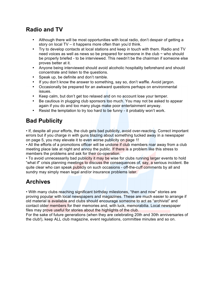# **Radio and TV**

- Although there will be most opportunities with local radio, don't despair of getting a story on local TV – it happens more often than you'd think.
- Try to develop contacts at local stations and keep in touch with them. Radio and TV need voices as well as news so be prepared for someone in the club  $\sim$  who should be properly briefed - to be interviewed. This needn't be the chairman if someone else proves better at it.
- Anyone being interviewed should avoid alcoholic hospitality beforehand and should concentrate and listen to the questions.
- Speak up, be definite and don't ramble.
- If you don't know the answer to something, say so, don't waffle. Avoid jargon.
- Occasionally be prepared for an awkward questions perhaps on environmental issues.
- Keep calm, but don't get too relaxed and on no account lose your temper.
- Be cautious in plugging club sponsors too much. You may not be asked to appear again if you do and too many plugs make poor entertainment anyway.
- Resist the temptation to try too hard to be funny it probably won't work.

### **Bad Publicity**

• If, despite all your efforts, the club gets bad publicity, avoid over-reacting. Correct important errors but if you charge in with guns blazing about something tucked away in a newspaper on page 5, you may elevate it to even worse publicity on page 1!

• All the efforts of a promotions officer will be undone if club members roar away from a club meeting place late at night and annoy the public. If there is a problem like this stress to members the problems and ask for their co-operation.

• To avoid unnecessarily bad publicity it may be wise for clubs running larger events to hold "what if" crisis planning meetings to discuss the consequences of, say, a serious incident. Be quite clear who can speak publicly on such occasions - off-the-cuff comments by all and sundry may simply mean legal and/or insurance problems later.

#### **Archives**

• With many clubs reaching significant birthday milestones, "then and now" stories are proving popular with local newspapers and magazines. These are much easier to arrange if old material is available and clubs should encourage someone to act as "archivist" and contact older members for their memories and, with luck, memorabilia. Local newspaper files may prove useful for stories about the highlights of the club.

For the sake of future generations (when they are celebrating 20th and 30th anniversaries of the club!), keep ALL club magazine, event regulations, committee minutes and so on.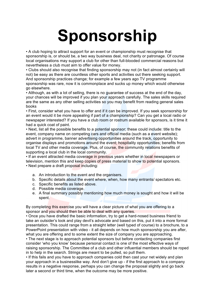# **Sponsorship**

• A club hoping to attract support for an event or championship must recognise that sponsorship is, or should be, a two way business deal, not charity or patronage. Of course local organisations may support a club for other than full-blooded commercial reasons but nevertheless a club must aim to offer value for money.

• Clubs should also recognise that finding sponsorship may not (in fact almost certainly will not) be easy as there are countless other sports and activities out there seeking support. And sponsorship practices change; for example a few years ago TV programme sponsorship was rare, now it is commonplace and sucks up money which would otherwise go elsewhere.

• Although, as with a lot of selling, there is no guarantee of success at the end of the day, your chances will be improved if you plan your approach carefully. The sales skills required are the same as any other selling activities so you may benefit from reading general sales books

• First, consider what you have to offer and if it can be improved. If you seek sponsorship for an event would it be more appealing if part of a championship? Can you get a local radio or newspaper interested? If you have a club room or rostrum available for sponsors, is it time it had a quick coat of paint.

• Next, list all the possible benefits to a potential sponsor; these could include: title to the event, company name on competing cars and official media (such as a event website); advert in programme, banner advertising opportunities around the track, opportunity to organise displays and promotions around the event; hospitality opportunities; benefits from local TV and other media coverage. Plus, of course, the community relations benefits of supporting a local club in the local community.

• If an event attracted media coverage in previous years whether in local newspapers or television, mention this and keep copies of press material to show to potential sponsors. • Next prepare a draft proposal including:

- a. An introduction to the event and the organisers.
- b. Specific details about the event where, when, how many entrants/ spectators etc.
- c. Specific benefits as listed above.
- d. Possible media coverage.
- e. A final summary possibly mentioning how much money is sought and how it will be spent.

By completing this exercise you will have a clear picture of what you are offering to a sponsor and you should then be able to deal with any queries.

• Once you have drafted the basic information, try to get a hard-nosed business friend to take an outsider's look and play devil's advocate and based on this, put it into a more formal presentation. This could range from a straight letter (well typed of course) to a brochure, to a PowerPoint presentation with video - it all depends on how much sponsorship you are after, what you are offering and to some extent the size of company you are approaching.

• The next stage is to approach potential sponsors but before contacting companies first consider 'who you know' because personal contact is one of the most effective ways of raising sponsorship. The Committee of a club and other influential members should be roped in to help in the search. Strings are meant to be pulled, so pull them.

• If this fails and you have to approach companies cold then cast your net widely and plan your approach in a businesslike way. And don't give up - if the first approach to a company results in a negative response, perhaps you can change the proposal slightly and go back later a second or third time, when the outcome may be more positive.